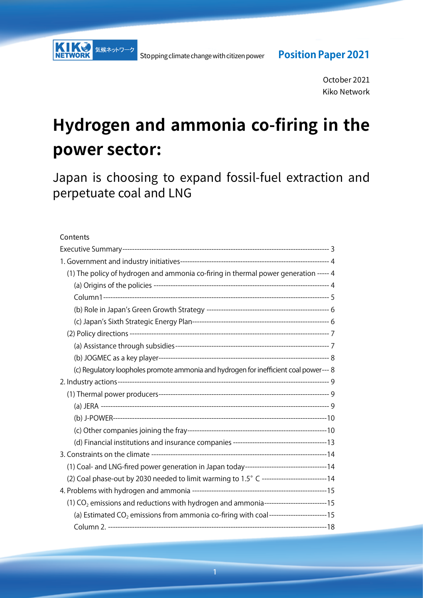October 2021 Kiko Network

# **Hydrogen and ammonia co-firing in the power sector:**

Japan is choosing to expand fossil-fuel extraction and perpetuate coal and LNG

#### Contents

| (1) The policy of hydrogen and ammonia co-firing in thermal power generation ----- 4                    |  |
|---------------------------------------------------------------------------------------------------------|--|
|                                                                                                         |  |
|                                                                                                         |  |
|                                                                                                         |  |
|                                                                                                         |  |
|                                                                                                         |  |
|                                                                                                         |  |
|                                                                                                         |  |
| (c) Regulatory loopholes promote ammonia and hydrogen for inefficient coal power--- 8                   |  |
|                                                                                                         |  |
|                                                                                                         |  |
|                                                                                                         |  |
|                                                                                                         |  |
|                                                                                                         |  |
|                                                                                                         |  |
|                                                                                                         |  |
| (1) Coal- and LNG-fired power generation in Japan today---------------------------------14              |  |
| (2) Coal phase-out by 2030 needed to limit warming to 1.5° C --------------------------14               |  |
|                                                                                                         |  |
| $(1)$ CO <sub>2</sub> emissions and reductions with hydrogen and ammonia-----------------------------15 |  |
| (a) Estimated CO <sub>2</sub> emissions from ammonia co-firing with coal-------------------------15     |  |
|                                                                                                         |  |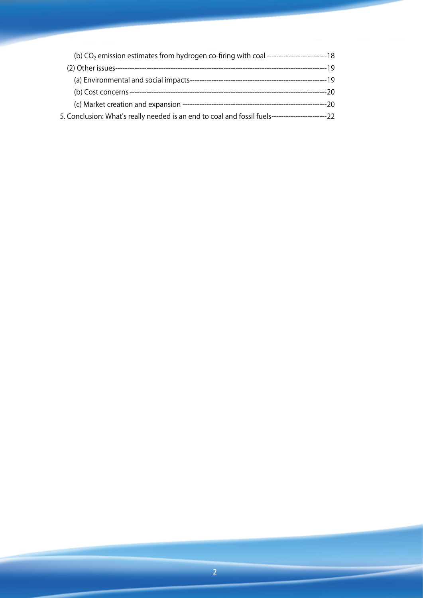| 5. Conclusion: What's really needed is an end to coal and fossil fuels------------------------22 |  |
|--------------------------------------------------------------------------------------------------|--|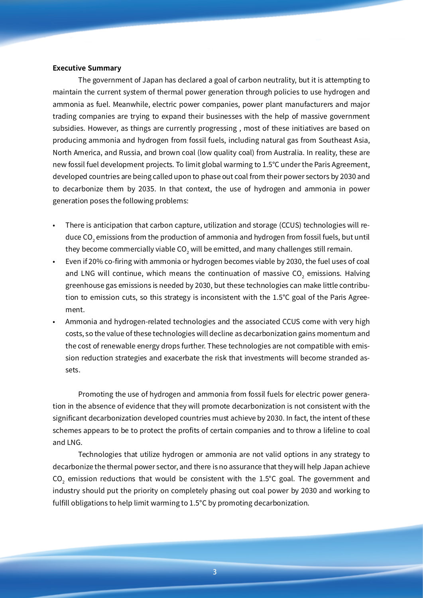#### **Executive Summary**

The government of Japan has declared a goal of carbon neutrality, but it is attempting to maintain the current system of thermal power generation through policies to use hydrogen and ammonia as fuel. Meanwhile, electric power companies, power plant manufacturers and major trading companies are trying to expand their businesses with the help of massive government subsidies. However, as things are currently progressing , most of these initiatives are based on producing ammonia and hydrogen from fossil fuels, including natural gas from Southeast Asia, North America, and Russia, and brown coal (low quality coal) from Australia. In reality, these are new fossil fuel development projects. To limit global warming to 1.5°C under the Paris Agreement, developed countries are being called upon to phase out coal from their power sectors by 2030 and to decarbonize them by 2035. In that context, the use of hydrogen and ammonia in power generation poses the following problems:

- There is anticipation that carbon capture, utilization and storage (CCUS) technologies will reduce  $\mathsf{CO}_2$  emissions from the production of ammonia and hydrogen from fossil fuels, but until they become commercially viable CO $_2$  will be emitted, and many challenges still remain.
- Even if 20% co-firing with ammonia or hydrogen becomes viable by 2030, the fuel uses of coal and LNG will continue, which means the continuation of massive  $\mathsf{CO}_{2}$  emissions. Halving greenhouse gas emissions is needed by 2030, but these technologies can make little contribution to emission cuts, so this strategy is inconsistent with the 1.5°C goal of the Paris Agreement.
- Ammonia and hydrogen-related technologies and the associated CCUS come with very high costs, so the value of these technologies will decline as decarbonization gains momentum and the cost of renewable energy drops further. These technologies are not compatible with emission reduction strategies and exacerbate the risk that investments will become stranded assets.

Promoting the use of hydrogen and ammonia from fossil fuels for electric power generation in the absence of evidence that they will promote decarbonization is not consistent with the significant decarbonization developed countries must achieve by 2030. In fact, the intent of these schemes appears to be to protect the profits of certain companies and to throw a lifeline to coal and LNG.

Technologies that utilize hydrogen or ammonia are not valid options in any strategy to decarbonize the thermal power sector, and there is no assurance that they will help Japan achieve CO<sub>2</sub> emission reductions that would be consistent with the  $1.5^{\circ}$ C goal. The government and industry should put the priority on completely phasing out coal power by 2030 and working to fulfill obligations to help limit warming to 1.5°C by promoting decarbonization.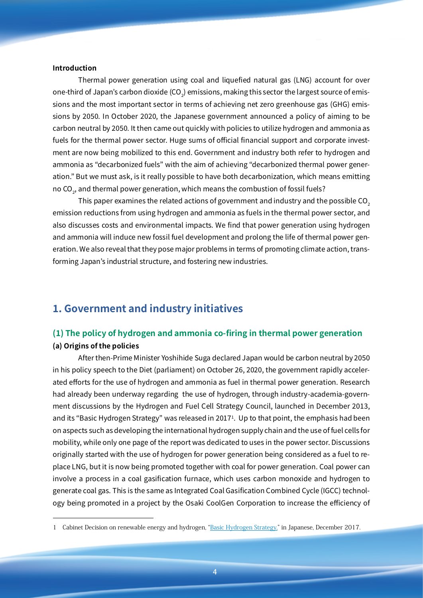#### **Introduction**

Thermal power generation using coal and liquefied natural gas (LNG) account for over one-third of Japan's carbon dioxide (CO $_{\textrm{\tiny{2}}}$ ) emissions, making this sector the largest source of emissions and the most important sector in terms of achieving net zero greenhouse gas (GHG) emissions by 2050. In October 2020, the Japanese government announced a policy of aiming to be carbon neutral by 2050. It then came out quickly with policies to utilize hydrogen and ammonia as fuels for the thermal power sector. Huge sums of official financial support and corporate investment are now being mobilized to this end. Government and industry both refer to hydrogen and ammonia as "decarbonized fuels" with the aim of achieving "decarbonized thermal power generation." But we must ask, is it really possible to have both decarbonization, which means emitting no CO $_{\rm 2}$ , and thermal power generation, which means the combustion of fossil fuels?

This paper examines the related actions of government and industry and the possible CO<sub>2</sub> emission reductions from using hydrogen and ammonia as fuels in the thermal power sector, and also discusses costs and environmental impacts. We find that power generation using hydrogen and ammonia will induce new fossil fuel development and prolong the life of thermal power generation. We also reveal that they pose major problems in terms of promoting climate action, transforming Japan's industrial structure, and fostering new industries.

## **1. Government and industry initiatives**

# **(1) The policy of hydrogen and ammonia co-firing in thermal power generation**

#### **(a) Origins of the policies**

After then-Prime Minister Yoshihide Suga declared Japan would be carbon neutral by 2050 in his policy speech to the Diet (parliament) on October 26, 2020, the government rapidly accelerated efforts for the use of hydrogen and ammonia as fuel in thermal power generation. Research had already been underway regarding the use of hydrogen, through industry-academia-government discussions by the Hydrogen and Fuel Cell Strategy Council, launched in December 2013, and its "Basic Hydrogen Strategy" was released in 20171 . Up to that point, the emphasis had been on aspects such as developing the international hydrogen supply chain and the use of fuel cells for mobility, while only one page of the report was dedicated to uses in the power sector. Discussions originally started with the use of hydrogen for power generation being considered as a fuel to replace LNG, but it is now being promoted together with coal for power generation. Coal power can involve a process in a coal gasification furnace, which uses carbon monoxide and hydrogen to generate coal gas. This is the same as Integrated Coal Gasification Combined Cycle (IGCC) technology being promoted in a project by the Osaki CoolGen Corporation to increase the efficiency of

<sup>1</sup> Cabinet Decision on renewable energy and hydrogen, "Basic [Hydrogen](https://www.cas.go.jp/jp/seisaku/saisei_energy/pdf/hydrogen_basic_strategy.pdf) Strategy," in Japanese, December 2017.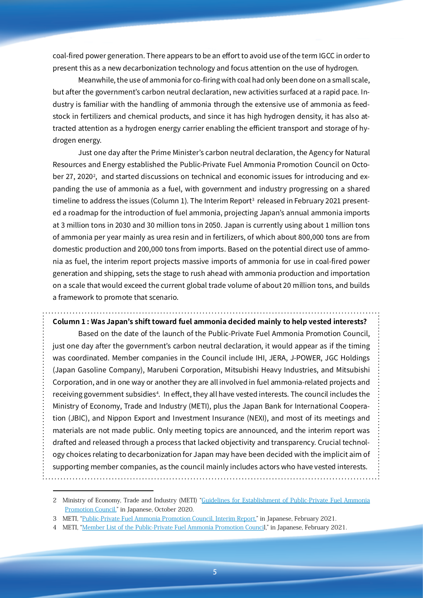coal-fired power generation. There appears to be an effort to avoid use of the term IGCC in order to present this as a new decarbonization technology and focus attention on the use of hydrogen.

Meanwhile, the use of ammonia for co-firing with coal had only been done on a small scale, but after the government's carbon neutral declaration, new activities surfaced at a rapid pace. Industry is familiar with the handling of ammonia through the extensive use of ammonia as feedstock in fertilizers and chemical products, and since it has high hydrogen density, it has also attracted attention as a hydrogen energy carrier enabling the efficient transport and storage of hydrogen energy.

Just one day after the Prime Minister's carbon neutral declaration, the Agency for Natural Resources and Energy established the Public-Private Fuel Ammonia Promotion Council on October 27, 2020 $^2$ , and started discussions on technical and economic issues for introducing and expanding the use of ammonia as a fuel, with government and industry progressing on a shared  $\tt{time}$  to address the issues (Column 1). The Interim Report $^3$  released in February 2021 presented a roadmap for the introduction of fuel ammonia, projecting Japan's annual ammonia imports at 3 million tons in 2030 and 30 million tons in 2050. Japan is currently using about 1 million tons of ammonia per year mainly as urea resin and in fertilizers, of which about 800,000 tons are from domestic production and 200,000 tons from imports. Based on the potential direct use of ammonia as fuel, the interim report projects massive imports of ammonia for use in coal-fired power generation and shipping, sets the stage to rush ahead with ammonia production and importation on a scale that would exceed the current global trade volume of about 20 million tons, and builds a framework to promote that scenario.

**Column 1 : Was Japan's shift toward fuel ammonia decided mainly to help vested interests?**

Based on the date of the launch of the Public-Private Fuel Ammonia Promotion Council, just one day after the government's carbon neutral declaration, it would appear as if the timing was coordinated. Member companies in the Council include IHI, JERA, J-POWER, JGC Holdings (Japan Gasoline Company), Marubeni Corporation, Mitsubishi Heavy Industries, and Mitsubishi Corporation, and in one way or another they are all involved in fuel ammonia-related projects and receiving government subsidies<sup>4</sup>. In effect, they all have vested interests. The council includes the Ministry of Economy, Trade and Industry (METI), plus the Japan Bank for International Cooperation (JBIC), and Nippon Export and Investment Insurance (NEXI), and most of its meetings and materials are not made public. Only meeting topics are announced, and the interim report was drafted and released through a process that lacked objectivity and transparency. Crucial technology choices relating to decarbonization for Japan may have been decided with the implicit aim of supporting member companies, as the council mainly includes actors who have vested interests.

<sup>2</sup> Ministry of Economy, Trade and Industry (METI) "Guidelines for [Establishment](https://www.meti.go.jp/shingikai/energy_environment/nenryo_anmonia/pdf/001_02_00.pdf) of Public-Private Fuel Ammonia [Promotion](https://www.meti.go.jp/shingikai/energy_environment/nenryo_anmonia/pdf/001_02_00.pdf) Council," in Japanese, October 2020.

<sup>3</sup> METI, "[Public-Private](https://www.meti.go.jp/shingikai/energy_environment/nenryo_anmonia/pdf/20200208_1.pdf) Fuel Ammonia Promotion Council, Interim Report," in Japanese, February 2021.

<sup>4</sup> METI, "Member List of the [Public-Private](https://www.meti.go.jp/shingikai/energy_environment/nenryo_anmonia/pdf/001_03_00.pdf) Fuel Ammonia Promotion Council," in Japanese, February 2021.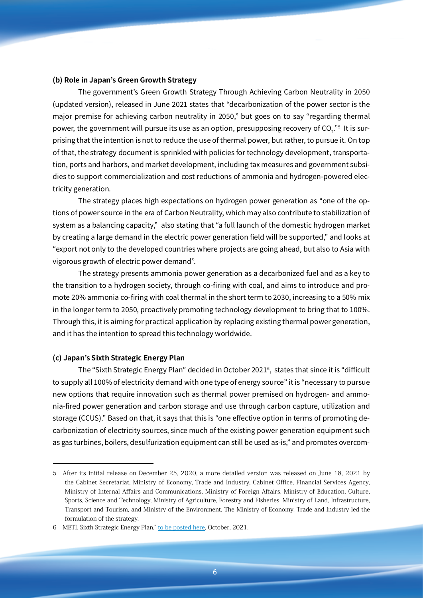#### **(b) Role in Japan's Green Growth Strategy**

The government's Green Growth Strategy Through Achieving Carbon Neutrality in 2050 (updated version), released in June 2021 states that "decarbonization of the power sector is the major premise for achieving carbon neutrality in 2050," but goes on to say "regarding thermal power, the government will pursue its use as an option, presupposing recovery of CO $_2$ ." $^{\mathrm{s}}$  It is surprising that the intention is not to reduce the use of thermal power, but rather, to pursue it. On top of that, the strategy document is sprinkled with policies for technology development, transportation, ports and harbors, and market development, including tax measures and government subsidies to support commercialization and cost reductions of ammonia and hydrogen-powered electricity generation.

The strategy places high expectations on hydrogen power generation as "one of the options of power source in the era of Carbon Neutrality, which may also contribute to stabilization of system as a balancing capacity," also stating that "a full launch of the domestic hydrogen market by creating a large demand in the electric power generation field will be supported," and looks at "export not only to the developed countries where projects are going ahead, but also to Asia with vigorous growth of electric power demand".

The strategy presents ammonia power generation as a decarbonized fuel and as a key to the transition to a hydrogen society, through co-firing with coal, and aims to introduce and promote 20% ammonia co-firing with coal thermal in the short term to 2030, increasing to a 50% mix in the longer term to 2050, proactively promoting technology development to bring that to 100%. Through this, it is aiming for practical application by replacing existing thermal power generation, and it has the intention to spread this technology worldwide.

#### **(c) Japan's Sixth Strategic Energy Plan**

The "Sixth Strategic Energy Plan" decided in October 20216 , states that since it is "difficult to supply all 100% of electricity demand with one type of energy source" it is "necessary to pursue new options that require innovation such as thermal power premised on hydrogen- and ammonia-fired power generation and carbon storage and use through carbon capture, utilization and storage (CCUS)." Based on that, it says that this is "one effective option in terms of promoting decarbonization of electricity sources, since much of the existing power generation equipment such as gas turbines, boilers, desulfurization equipment can still be used as-is," and promotes overcom-

<sup>5</sup> After its initial release on December 25, 2020, a more detailed version was released on June 18, 2021 by the Cabinet Secretariat, Ministry of Economy, Trade and Industry, Cabinet Office, Financial Services Agency, Ministry of Internal Affairs and Communications, Ministry of Foreign Affairs, Ministry of Education, Culture, Sports, Science and Technology, Ministry of Agriculture, Forestry and Fisheries, Ministry of Land, Infrastructure, Transport and Tourism, and Ministry of the Environment. The Ministry of Economy, Trade and Industry led the formulation of the strategy.

<sup>6</sup> METI, Sixth Strategic Energy Plan," to be [posted](https://www.enecho.meti.go.jp/en/category/others/basic_plan/) here, October, 2021.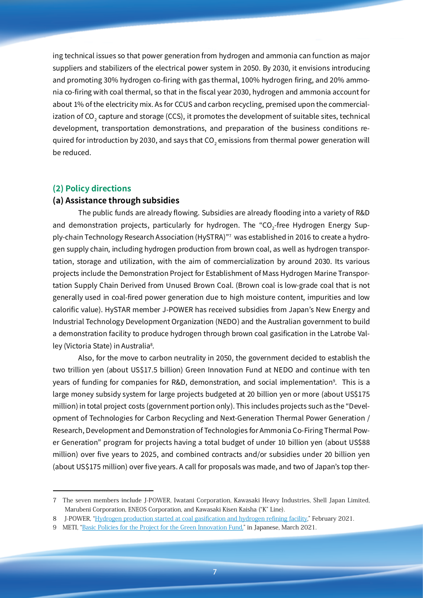ing technical issues so that power generation from hydrogen and ammonia can function as major suppliers and stabilizers of the electrical power system in 2050. By 2030, it envisions introducing and promoting 30% hydrogen co-firing with gas thermal, 100% hydrogen firing, and 20% ammonia co-firing with coal thermal, so that in the fiscal year 2030, hydrogen and ammonia account for about 1% of the electricity mix. As for CCUS and carbon recycling, premised upon the commercialization of CO $_{\rm 2}$  capture and storage (CCS), it promotes the development of suitable sites, technical development, transportation demonstrations, and preparation of the business conditions required for introduction by 2030, and says that CO $_{2}$  emissions from thermal power generation will be reduced.

#### **(2) Policy directions**

#### **(a) Assistance through subsidies**

The public funds are already flowing. Subsidies are already flooding into a variety of R&D and demonstration projects, particularly for hydrogen. The "CO<sub>2</sub>-free Hydrogen Energy Supply-chain Technology Research Association (HySTRA)"7 was established in 2016 to create a hydrogen supply chain, including hydrogen production from brown coal, as well as hydrogen transportation, storage and utilization, with the aim of commercialization by around 2030. Its various projects include the Demonstration Project for Establishment of Mass Hydrogen Marine Transportation Supply Chain Derived from Unused Brown Coal. (Brown coal is low-grade coal that is not generally used in coal-fired power generation due to high moisture content, impurities and low calorific value). HySTAR member J-POWER has received subsidies from Japan's New Energy and Industrial Technology Development Organization (NEDO) and the Australian government to build a demonstration facility to produce hydrogen through brown coal gasification in the Latrobe Valley (Victoria State) in Australia $^{\rm s}$ .

Also, for the move to carbon neutrality in 2050, the government decided to establish the two trillion yen (about US\$17.5 billion) Green Innovation Fund at NEDO and continue with ten years of funding for companies for R&D, demonstration, and social implementation9 . This is a large money subsidy system for large projects budgeted at 20 billion yen or more (about US\$175 million) in total project costs (government portion only). This includes projects such as the "Development of Technologies for Carbon Recycling and Next-Generation Thermal Power Generation / Research, Development and Demonstration of Technologies for Ammonia Co-Firing Thermal Power Generation" program for projects having a total budget of under 10 billion yen (about US\$88 million) over five years to 2025, and combined contracts and/or subsidies under 20 billion yen (about US\$175 million) over five years. A call for proposals was made, and two of Japan's top ther-

<sup>7</sup> The seven members include J-POWER, Iwatani Corporation, Kawasaki Heavy Industries, Shell Japan Limited, Marubeni Corporation, ENEOS Corporation, and Kawasaki Kisen Kaisha ("K" Line).

<sup>8</sup> J-POWER, "Hydrogen production started at coal [gasification](https://www.jpower.co.jp/english/news_release/pdf/news210201e.pdf) and hydrogen refining facility," February 2021.

<sup>9</sup> METI, "Basic Policies for the Project for the Green [Innovation](https://www.nedo.go.jp/content/100936836.pdf) Fund," in Japanese, March 2021.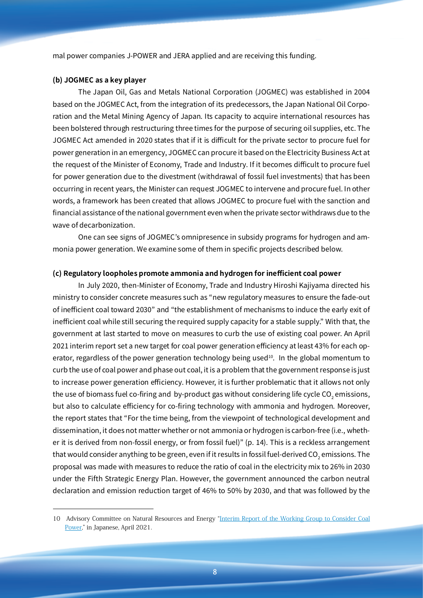mal power companies J-POWER and JERA applied and are receiving this funding.

#### **(b) JOGMEC as a key player**

The Japan Oil, Gas and Metals National Corporation (JOGMEC) was established in 2004 based on the JOGMEC Act, from the integration of its predecessors, the Japan National Oil Corporation and the Metal Mining Agency of Japan. Its capacity to acquire international resources has been bolstered through restructuring three times for the purpose of securing oil supplies, etc. The JOGMEC Act amended in 2020 states that if it is difficult for the private sector to procure fuel for power generation in an emergency, JOGMEC can procure it based on the Electricity Business Act at the request of the Minister of Economy, Trade and Industry. If it becomes difficult to procure fuel for power generation due to the divestment (withdrawal of fossil fuel investments) that has been occurring in recent years, the Minister can request JOGMEC to intervene and procure fuel. In other words, a framework has been created that allows JOGMEC to procure fuel with the sanction and financial assistance of the national government even when the private sector withdraws due to the wave of decarbonization.

One can see signs of JOGMEC's omnipresence in subsidy programs for hydrogen and ammonia power generation. We examine some of them in specific projects described below.

#### **(c) Regulatory loopholes promote ammonia and hydrogen for inefficient coal power**

In July 2020, then-Minister of Economy, Trade and Industry Hiroshi Kajiyama directed his ministry to consider concrete measures such as "new regulatory measures to ensure the fade-out of inefficient coal toward 2030" and "the establishment of mechanisms to induce the early exit of inefficient coal while still securing the required supply capacity for a stable supply." With that, the government at last started to move on measures to curb the use of existing coal power. An April 2021 interim report set a new target for coal power generation efficiency at least 43% for each operator, regardless of the power generation technology being used<sup>10</sup>. In the global momentum to curb the use of coal power and phase out coal, it is a problem that the government response is just to increase power generation efficiency. However, it is further problematic that it allows not only the use of biomass fuel co-firing and by-product gas without considering life cycle  $\mathrm{CO}_2$  emissions, but also to calculate efficiency for co-firing technology with ammonia and hydrogen. Moreover, the report states that "For the time being, from the viewpoint of technological development and dissemination, it does not matter whether or not ammonia or hydrogen is carbon-free (i.e., whether it is derived from non-fossil energy, or from fossil fuel)" (p. 14). This is a reckless arrangement that would consider anything to be green, even if it results in fossil fuel-derived CO $_{\textrm{\tiny{2}}}$  emissions. The proposal was made with measures to reduce the ratio of coal in the electricity mix to 26% in 2030 under the Fifth Strategic Energy Plan. However, the government announced the carbon neutral declaration and emission reduction target of 46% to 50% by 2030, and that was followed by the

<sup>10</sup> Advisory Committee on Natural Resources and Energy "Interim Report of the Working Group to [Consider](https://www.meti.go.jp/shingikai/enecho/denryoku_gas/denryoku_gas/sekitan_karyoku_wg/pdf/20210423_2.pdf) Coal [Power](https://www.meti.go.jp/shingikai/enecho/denryoku_gas/denryoku_gas/sekitan_karyoku_wg/pdf/20210423_2.pdf)," in Japanese, April 2021.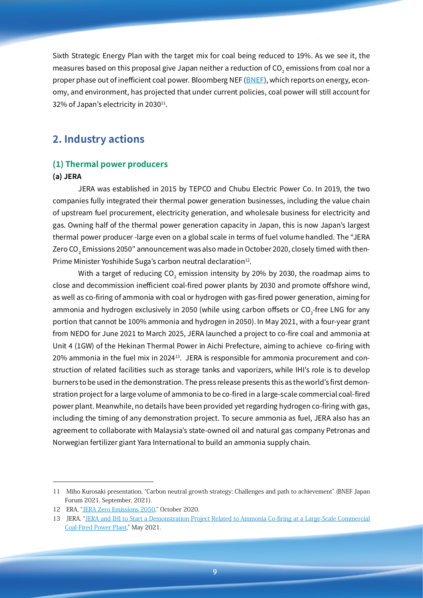Sixth Strategic Energy Plan with the target mix for coal being reduced to 19%. As we see it, the measures based on this proposal give Japan neither a reduction of  $\mathop{\rm CO}_{2}$  emissions from coal nor a proper phase out of inefficient coal power. Bloomberg NEF ([BNEF\)](https://about.bnef.com/japan/), which reports on energy, economy, and environment, has projected that under current policies, coal power will still account for 32% of Japan's electricity in 2030<sup>11</sup>.

# **2. Industry actions**

#### **(1) Thermal power producers**

#### **(a) JERA**

JERA was established in 2015 by TEPCO and Chubu Electric Power Co. In 2019, the two companies fully integrated their thermal power generation businesses, including the value chain of upstream fuel procurement, electricity generation, and wholesale business for electricity and gas. Owning half of the thermal power generation capacity in Japan, this is now Japan's largest thermal power producer -large even on a global scale in terms of fuel volume handled. The "JERA Zero CO $_{\textrm{\tiny{2}}}$  Emissions 2050 $^{\prime\prime}$  announcement was also made in October 2020, closely timed with then-Prime Minister Yoshihide Suga's carbon neutral declaration<sup>12</sup>.

With a target of reducing CO<sub>2</sub> emission intensity by 20% by 2030, the roadmap aims to close and decommission inefficient coal-fired power plants by 2030 and promote offshore wind, as well as co-firing of ammonia with coal or hydrogen with gas-fired power generation, aiming for ammonia and hydrogen exclusively in 2050 (while using carbon offsets or CO<sub>2</sub>-free LNG for any portion that cannot be 100% ammonia and hydrogen in 2050). In May 2021, with a four-year grant from NEDO for June 2021 to March 2025, JERA launched a project to co-fire coal and ammonia at Unit 4 (1GW) of the Hekinan Thermal Power in Aichi Prefecture, aiming to achieve co-firing with 20% ammonia in the fuel mix in 202413. JERA is responsible for ammonia procurement and construction of related facilities such as storage tanks and vaporizers, while IHI's role is to develop burners to be used in the demonstration. The press release presents this as the world's first demonstration project for a large volume of ammonia to be co-fired in a large-scale commercial coal-fired power plant. Meanwhile, no details have been provided yet regarding hydrogen co-firing with gas, including the timing of any demonstration project. To secure ammonia as fuel, JERA also has an agreement to collaborate with Malaysia's state-owned oil and natural gas company Petronas and Norwegian fertilizer giant Yara International to build an ammonia supply chain.

<sup>11</sup> Miho Kurosaki presentation, "Carbon neutral growth strategy: Challenges and path to achievement" (BNEF Japan Forum 2021, September, 2021).

<sup>12</sup> ERA, "JERA Zero [Emissions](https://www.jera.co.jp/corporate/zeroemission/) 2050," October 2020.

<sup>13</sup> JERA, "JERA and IHI to Start a [Demonstration](https://www.jera.co.jp/information/20210524_677) Project Related to Ammonia Co-firing at a Large-Scale Commercial [Coal-Fired](https://www.jera.co.jp/information/20210524_677) Power Plant," May 2021.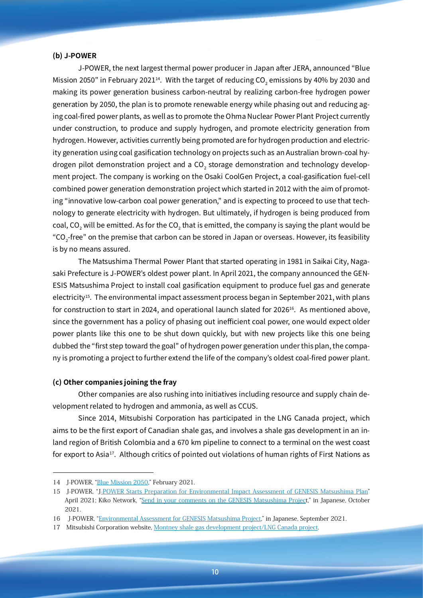#### **(b) J-POWER**

J-POWER, the next largest thermal power producer in Japan after JERA, announced "Blue Mission 2050" in February 2021 $^{\rm 14}$ . With the target of reducing CO $_2$  emissions by 40% by 2030 and making its power generation business carbon-neutral by realizing carbon-free hydrogen power generation by 2050, the plan is to promote renewable energy while phasing out and reducing aging coal-fired power plants, as well as to promote the Ohma Nuclear Power Plant Project currently under construction, to produce and supply hydrogen, and promote electricity generation from hydrogen. However, activities currently being promoted are for hydrogen production and electricity generation using coal gasification technology on projects such as an Australian brown-coal hydrogen pilot demonstration project and a CO $_2$  storage demonstration and technology development project. The company is working on the Osaki CoolGen Project, a coal-gasification fuel-cell combined power generation demonstration project which started in 2012 with the aim of promoting "innovative low-carbon coal power generation," and is expecting to proceed to use that technology to generate electricity with hydrogen. But ultimately, if hydrogen is being produced from coal, CO $_2$  will be emitted. As for the CO $_2$  that is emitted, the company is saying the plant would be "CO<sub>2</sub>-free" on the premise that carbon can be stored in Japan or overseas. However, its feasibility is by no means assured.

The Matsushima Thermal Power Plant that started operating in 1981 in Saikai City, Nagasaki Prefecture is J-POWER's oldest power plant. In April 2021, the company announced the GEN-ESIS Matsushima Project to install coal gasification equipment to produce fuel gas and generate electricity<sup>15</sup>. The environmental impact assessment process began in September 2021, with plans for construction to start in 2024, and operational launch slated for 2026<sup>16</sup>. As mentioned above, since the government has a policy of phasing out inefficient coal power, one would expect older power plants like this one to be shut down quickly, but with new projects like this one being dubbed the "first step toward the goal" of hydrogen power generation under this plan, the company is promoting a project to further extend the life of the company's oldest coal-fired power plant.

#### **(c) Other companies joining the fray**

Other companies are also rushing into initiatives including resource and supply chain development related to hydrogen and ammonia, as well as CCUS.

Since 2014, Mitsubishi Corporation has participated in the LNG Canada project, which aims to be the first export of Canadian shale gas, and involves a shale gas development in an inland region of British Colombia and a 670 km pipeline to connect to a terminal on the west coast for export to Asia<sup>17</sup>. Although critics of pointed out violations of human rights of First Nations as

<sup>14</sup> J-POWER, "Blue [Mission](https://www.jpower.co.jp/english/bluemission2050/) 2050," February 2021.

<sup>15</sup> J-POWER, "J-POWER Starts Preparation for [Environmental](https://www.jpower.co.jp/english/news_release/pdf/news210416_2e.pdf) Impact Assessment of GENESIS Matsushima Plan" April 2021; Kiko Network, "Send in your comments on the GENESIS [Matsushima](https://www.kikonet.org/wp/wp-content/uploads/2021/10/0a8fadfbe2c5aff6a800d225b65524c7.pdf) Project," in Japanese, October 2021.

<sup>16</sup> J-POWER, ["Environmental](https://www.jpower.co.jp/sustainability/environment/assessment/matsushima.html) Assessment for GENESIS Matsushima Project," in Japanese, September 2021.

<sup>17</sup> Mitsubishi Corporation website, Montney shale gas [development](https://www.mitsubishicorp.com/jp/en/bg/natural-gas-group/project/montney-shale-gas-and-lng-canada/) project/LNG Canada project.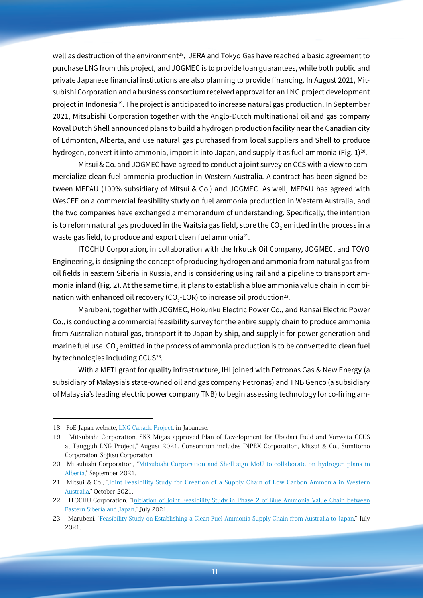well as destruction of the environment<sup>18</sup>, JERA and Tokyo Gas have reached a basic agreement to purchase LNG from this project, and JOGMEC is to provide loan guarantees, while both public and private Japanese financial institutions are also planning to provide financing. In August 2021, Mitsubishi Corporation and a business consortium received approval for an LNG project development project in Indonesia<sup>19</sup>. The project is anticipated to increase natural gas production. In September 2021, Mitsubishi Corporation together with the Anglo-Dutch multinational oil and gas company Royal Dutch Shell announced plans to build a hydrogen production facility near the Canadian city of Edmonton, Alberta, and use natural gas purchased from local suppliers and Shell to produce hydrogen, convert it into ammonia, import it into Japan, and supply it as fuel ammonia (Fig. 1)<sup>20</sup>.

Mitsui & Co. and JOGMEC have agreed to conduct a joint survey on CCS with a view to commercialize clean fuel ammonia production in Western Australia. A contract has been signed between MEPAU (100% subsidiary of Mitsui & Co.) and JOGMEC. As well, MEPAU has agreed with WesCEF on a commercial feasibility study on fuel ammonia production in Western Australia, and the two companies have exchanged a memorandum of understanding. Specifically, the intention is to reform natural gas produced in the Waitsia gas field, store the CO $_2^{}$  emitted in the process in a waste gas field, to produce and export clean fuel ammonia<sup>21</sup>.

ITOCHU Corporation, in collaboration with the Irkutsk Oil Company, JOGMEC, and TOYO Engineering, is designing the concept of producing hydrogen and ammonia from natural gas from oil fields in eastern Siberia in Russia, and is considering using rail and a pipeline to transport ammonia inland (Fig. 2). At the same time, it plans to establish a blue ammonia value chain in combination with enhanced oil recovery (CO<sub>2</sub>-EOR) to increase oil production<sup>22</sup>.

Marubeni, together with JOGMEC, Hokuriku Electric Power Co., and Kansai Electric Power Co., is conducting a commercial feasibility survey for the entire supply chain to produce ammonia from Australian natural gas, transport it to Japan by ship, and supply it for power generation and marine fuel use. CO $_2$  emitted in the process of ammonia production is to be converted to clean fuel  $\,$ by technologies including CCUS<sup>23</sup>.

With a METI grant for quality infrastructure, IHI joined with Petronas Gas & New Energy (a subsidiary of Malaysia's state-owned oil and gas company Petronas) and TNB Genco (a subsidiary of Malaysia's leading electric power company TNB) to begin assessing technology for co-firing am-

<sup>18</sup> FoE Japan website, LNG [Canada](https://www.foejapan.org/aid/jbic02/lngcanada/background.html) Project. in Japanese.

<sup>19</sup>  Mitsubishi Corporation, SKK Migas approved Plan of Development for Ubadari Field and Vorwata CCUS at Tangguh LNG Project," August 2021. Consortium includes INPEX Corporation, Mitsui & Co., Sumitomo Corporation, Sojitsu Corporation.

<sup>20</sup> Mitsubishi [Corporation](https://www.mitsubishicorp.com/jp/en/pr/archive/2021/html/0000047710.html), "Mitsubishi Corporation and Shell sign MoU to collaborate on hydrogen plans in [Alberta](https://www.mitsubishicorp.com/jp/en/pr/archive/2021/html/0000047710.html)," September 2021.

<sup>21</sup> Mitsui & Co., "Joint [Feasibility](https://www.mitsui.com/jp/en/topics/2021/1242033_12171.html) Study for Creation of a Supply Chain of Low Carbon Ammonia in Western [Australia](https://www.mitsui.com/jp/en/topics/2021/1242033_12171.html)," October 2021.

<sup>22</sup> ITOCHU Corporation, "Initiation of Joint [Feasibility](https://www.itochu.co.jp/en/news/press/2021/210707.html) Study in Phase 2 of Blue Ammonia Value Chain between [Eastern](https://www.itochu.co.jp/en/news/press/2021/210707.html) Siberia and Japan," July 2021.

<sup>23</sup> Marubeni, "Feasibility Study on [Establishing](https://www.marubeni.com/en/news/2021/release/20210720E.pdf) a Clean Fuel Ammonia Supply Chain from Australia to Japan," July 2021.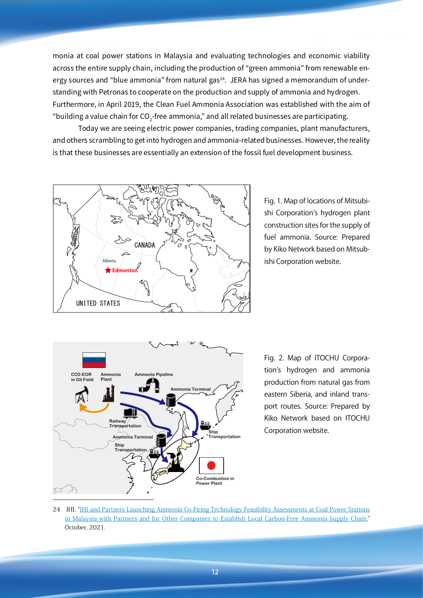monia at coal power stations in Malaysia and evaluating technologies and economic viability across the entire supply chain, including the production of "green ammonia" from renewable energy sources and "blue ammonia" from natural gas<sup>24</sup>. JERA has signed a memorandum of understanding with Petronas to cooperate on the production and supply of ammonia and hydrogen. Furthermore, in April 2019, the Clean Fuel Ammonia Association was established with the aim of "building a value chain for CO $_2$ -free ammonia," and all related businesses are participating.

Today we are seeing electric power companies, trading companies, plant manufacturers, and others scrambling to get into hydrogen and ammonia-related businesses. However, the reality is that these businesses are essentially an extension of the fossil fuel development business.



Fig. 1. Map of locations of Mitsubishi Corporation's hydrogen plant construction sites for the supply of fuel ammonia. Source: Prepared by Kiko Network based on Mitsubishi Corporation website.



Fig. 2. Map of ITOCHU Corporation's hydrogen and ammonia production from natural gas from eastern Siberia, and inland transport routes. Source: Prepared by Kiko Network based on ITOCHU Corporation website.

24 IHI, "IHI and Partners Launching Ammonia Co-Firing Technology Feasibility [Assessments](https://www.ihi.co.jp/en/all_news/2021/resources_energy_environment/1197552_3360.html) at Coal Power Stations in Malaysia with Partners and for Other Companies to Establish Local [Carbon-Free](https://www.ihi.co.jp/en/all_news/2021/resources_energy_environment/1197552_3360.html) Ammonia Supply Chain," October, 2021.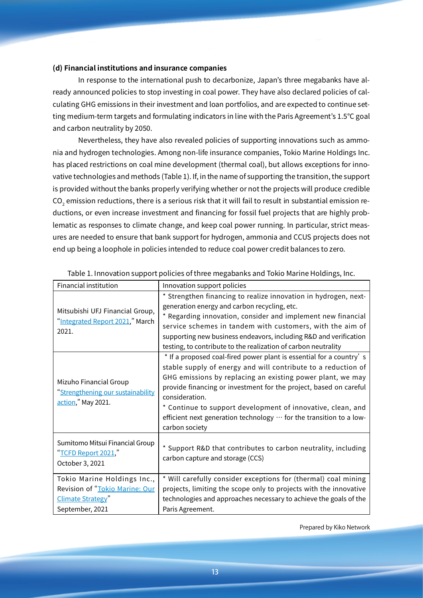#### **(d) Financial institutions and insurance companies**

In response to the international push to decarbonize, Japan's three megabanks have already announced policies to stop investing in coal power. They have also declared policies of calculating GHG emissions in their investment and loan portfolios, and are expected to continue setting medium-term targets and formulating indicators in line with the Paris Agreement's 1.5°C goal and carbon neutrality by 2050.

Nevertheless, they have also revealed policies of supporting innovations such as ammonia and hydrogen technologies. Among non-life insurance companies, Tokio Marine Holdings Inc. has placed restrictions on coal mine development (thermal coal), but allows exceptions for innovative technologies and methods (Table 1). If, in the name of supporting the transition, the support is provided without the banks properly verifying whether or not the projects will produce credible  $\rm CO_{2}$  emission reductions, there is a serious risk that it will fail to result in substantial emission reductions, or even increase investment and financing for fossil fuel projects that are highly problematic as responses to climate change, and keep coal power running. In particular, strict measures are needed to ensure that bank support for hydrogen, ammonia and CCUS projects does not end up being a loophole in policies intended to reduce coal power credit balances to zero.

| Financial institution                                                                                 | Innovation support policies                                                                                                                                                                                                                                                                                                                                                                                                                              |  |  |
|-------------------------------------------------------------------------------------------------------|----------------------------------------------------------------------------------------------------------------------------------------------------------------------------------------------------------------------------------------------------------------------------------------------------------------------------------------------------------------------------------------------------------------------------------------------------------|--|--|
| Mitsubishi UFJ Financial Group,<br>"Integrated Report 2021," March<br>2021.                           | * Strengthen financing to realize innovation in hydrogen, next-<br>generation energy and carbon recycling, etc.<br>* Regarding innovation, consider and implement new financial<br>service schemes in tandem with customers, with the aim of<br>supporting new business endeavors, including R&D and verification<br>testing, to contribute to the realization of carbon neutrality                                                                      |  |  |
| Mizuho Financial Group<br>"Strengthening our sustainability<br>action," May 2021.                     | * If a proposed coal-fired power plant is essential for a country's<br>stable supply of energy and will contribute to a reduction of<br>GHG emissions by replacing an existing power plant, we may<br>provide financing or investment for the project, based on careful<br>consideration.<br>* Continue to support development of innovative, clean, and<br>efficient next generation technology $\cdots$ for the transition to a low-<br>carbon society |  |  |
| Sumitomo Mitsui Financial Group<br>"TCFD Report 2021,"<br>October 3, 2021                             | * Support R&D that contributes to carbon neutrality, including<br>carbon capture and storage (CCS)                                                                                                                                                                                                                                                                                                                                                       |  |  |
| Tokio Marine Holdings Inc.,<br>Revision of "Tokio Marine: Our<br>Climate Strategy"<br>September, 2021 | * Will carefully consider exceptions for (thermal) coal mining<br>projects, limiting the scope only to projects with the innovative<br>technologies and approaches necessary to achieve the goals of the<br>Paris Agreement.                                                                                                                                                                                                                             |  |  |

Table 1. Innovation support policies of three megabanks and Tokio Marine Holdings, Inc.

Prepared by Kiko Network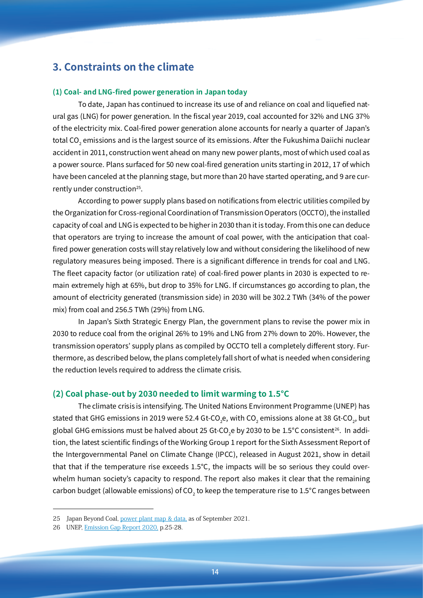# **3. Constraints on the climate**

#### **(1) Coal- and LNG-fired power generation in Japan today**

To date, Japan has continued to increase its use of and reliance on coal and liquefied natural gas (LNG) for power generation. In the fiscal year 2019, coal accounted for 32% and LNG 37% of the electricity mix. Coal-fired power generation alone accounts for nearly a quarter of Japan's total CO $_{\rm 2}$  emissions and is the largest source of its emissions. After the Fukushima Daiichi nuclear accident in 2011, construction went ahead on many new power plants, most of which used coal as a power source. Plans surfaced for 50 new coal-fired generation units starting in 2012, 17 of which have been canceled at the planning stage, but more than 20 have started operating, and 9 are currently under construction<sup>25</sup>.

According to power supply plans based on notifications from electric utilities compiled by the Organization for Cross-regional Coordination of Transmission Operators (OCCTO), the installed capacity of coal and LNG is expected to be higher in 2030 than it is today. From this one can deduce that operators are trying to increase the amount of coal power, with the anticipation that coalfired power generation costs will stay relatively low and without considering the likelihood of new regulatory measures being imposed. There is a significant difference in trends for coal and LNG. The fleet capacity factor (or utilization rate) of coal-fired power plants in 2030 is expected to remain extremely high at 65%, but drop to 35% for LNG. If circumstances go according to plan, the amount of electricity generated (transmission side) in 2030 will be 302.2 TWh (34% of the power mix) from coal and 256.5 TWh (29%) from LNG.

In Japan's Sixth Strategic Energy Plan, the government plans to revise the power mix in 2030 to reduce coal from the original 26% to 19% and LNG from 27% down to 20%. However, the transmission operators' supply plans as compiled by OCCTO tell a completely different story. Furthermore, as described below, the plans completely fall short of what is needed when considering the reduction levels required to address the climate crisis.

#### **(2) Coal phase-out by 2030 needed to limit warming to 1.5°C**

The climate crisis is intensifying. The United Nations Environment Programme (UNEP) has stated that GHG emissions in 2019 were 52.4 Gt-CO<sub>2</sub>e, with CO<sub>2</sub> emissions alone at 38 Gt-CO<sub>2</sub>, but global GHG emissions must be halved about 25 Gt-CO<sub>2</sub>e by 2030 to be 1.5°C consistent<sup>26</sup>. In addition, the latest scientific findings of the Working Group 1 report for the Sixth Assessment Report of the Intergovernmental Panel on Climate Change (IPCC), released in August 2021, show in detail that that if the temperature rise exceeds 1.5°C, the impacts will be so serious they could overwhelm human society's capacity to respond. The report also makes it clear that the remaining carbon budget (allowable emissions) of CO $_2$  to keep the temperature rise to  $1.5^{\circ}$ C ranges between

<sup>25</sup> Japan Beyond Coal, [power](https://beyond-coal.jp/en/map-and-data/) plant map & data, as of September 2021.

<sup>26</sup> UNEP, **[Emission](https://www.unep.org/emissions-gap-report-2020) Gap Report 2020**, p.25-28.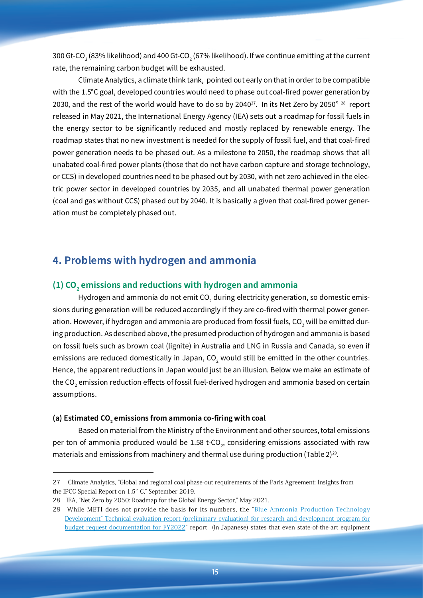300 Gt-CO $_2$  (83% likelihood) and 400 Gt-CO $_2$  (67% likelihood). If we continue emitting at the current rate, the remaining carbon budget will be exhausted.

Climate Analytics, a climate think tank, pointed out early on that in order to be compatible with the 1.5°C goal, developed countries would need to phase out coal-fired power generation by 2030, and the rest of the world would have to do so by 2040<sup>27</sup>. In its Net Zero by 2050"<sup>28</sup> report released in May 2021, the International Energy Agency (IEA) sets out a roadmap for fossil fuels in the energy sector to be significantly reduced and mostly replaced by renewable energy. The roadmap states that no new investment is needed for the supply of fossil fuel, and that coal-fired power generation needs to be phased out. As a milestone to 2050, the roadmap shows that all unabated coal-fired power plants (those that do not have carbon capture and storage technology, or CCS) in developed countries need to be phased out by 2030, with net zero achieved in the electric power sector in developed countries by 2035, and all unabated thermal power generation (coal and gas without CCS) phased out by 2040. It is basically a given that coal-fired power generation must be completely phased out.

# **4. Problems with hydrogen and ammonia**

#### (1) CO<sub>2</sub> emissions and reductions with hydrogen and ammonia

Hydrogen and ammonia do not emit  $\mathop{\rm CO}_{2}$  during electricity generation, so domestic emissions during generation will be reduced accordingly if they are co-fired with thermal power generation. However, if hydrogen and ammonia are produced from fossil fuels, CO $_2$  will be emitted during production. As described above, the presumed production of hydrogen and ammonia is based on fossil fuels such as brown coal (lignite) in Australia and LNG in Russia and Canada, so even if emissions are reduced domestically in Japan, CO $_2$  would still be emitted in the other countries. Hence, the apparent reductions in Japan would just be an illusion. Below we make an estimate of the CO $_2$  emission reduction effects of fossil fuel-derived hydrogen and ammonia based on certain  $\,$ assumptions.

#### (a) Estimated CO<sub>2</sub> emissions from ammonia co-firing with coal

Based on material from the Ministry of the Environment and other sources, total emissions per ton of ammonia produced would be 1.58 t-CO<sub>2</sub>, considering emissions associated with raw materials and emissions from machinery and thermal use during production (Table 2) $^{29}$ .

<sup>27</sup>  Climate Analytics, "Global and regional coal phase-out requirements of the Paris Agreement: Insights from the IPCC Special Report on 1.5°C," September 2019.

<sup>28</sup> IEA, "Net Zero by 2050: Roadmap for the Global Energy Sector," May 2021.

<sup>29</sup> While METI does not provide the basis for its numbers, the "Blue Ammonia Production [Technology](https://www.meti.go.jp/policy/tech_evaluation/e00/03/r03/J114.pdf) [Development"](https://www.meti.go.jp/policy/tech_evaluation/e00/03/r03/J114.pdf) Technical evaluation report (preliminary evaluation) for research and development program for budget request [documentation](https://www.meti.go.jp/policy/tech_evaluation/e00/03/r03/J114.pdf) for FY2022" report (in Japanese) states that even state-of-the-art equipment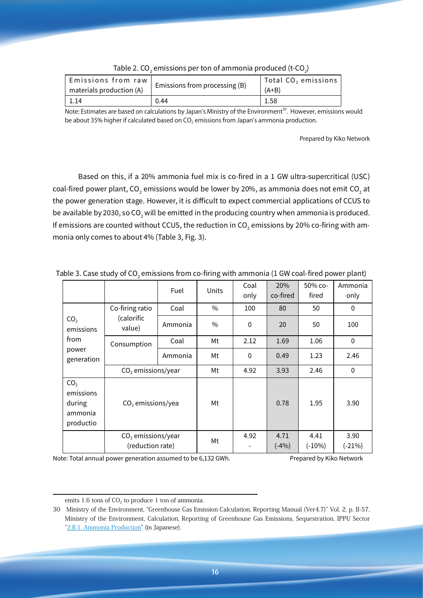| Emissions from raw       | Emissions from processing (B) | Total $CO2$ emissions |
|--------------------------|-------------------------------|-----------------------|
| materials production (A) |                               | $(A+B)$               |
| -1.14                    | 0.44                          | 1.58                  |

| Table 2. CO $_{_2}$ emissions per ton of ammonia produced (t-CO $_{_2}\!$ ) |  |  |
|-----------------------------------------------------------------------------|--|--|
|-----------------------------------------------------------------------------|--|--|

Note: Estimates are based on calculations by Japan's Ministry of the Environment<sup>30</sup>. However, emissions would be about 35% higher if calculated based on  $CO<sub>2</sub>$  emissions from Japan's ammonia production.

Prepared by Kiko Network

Based on this, if a 20% ammonia fuel mix is co-fired in a 1 GW ultra-supercritical (USC) coal-fired power plant, CO $_2$  emissions would be lower by 20%, as ammonia does not emit CO $_2$  at the power generation stage. However, it is difficult to expect commercial applications of CCUS to be available by 2030, so CO $_2$  will be emitted in the producing country when ammonia is produced. If emissions are counted without CCUS, the reduction in CO $_2$  emissions by 20% co-firing with ammonia only comes to about 4% (Table 3, Fig. 3).

|                                                                |                                          | Fuel    | Units | Coal<br>only | 20%<br>co-fired | 50% co-<br>fired | Ammonia<br>only  |
|----------------------------------------------------------------|------------------------------------------|---------|-------|--------------|-----------------|------------------|------------------|
| CO <sub>2</sub><br>emissions                                   | Co-firing ratio                          | Coal    | $\%$  | 100          | 80              | 50               | $\mathbf 0$      |
|                                                                | (calorific<br>value)                     | Ammonia | $\%$  | $\mathbf 0$  | 20              | 50               | 100              |
| from                                                           | Consumption                              | Coal    | Mt    | 2.12         | 1.69            | 1.06             | 0                |
| power<br>generation                                            |                                          | Ammonia | Мt    | $\mathbf{0}$ | 0.49            | 1.23             | 2.46             |
|                                                                | $CO2$ emissions/year                     |         | Mt    | 4.92         | 3.93            | 2.46             | $\mathbf{0}$     |
| CO <sub>2</sub><br>emissions<br>during<br>ammonia<br>productio | $CO2$ emissions/yea                      |         | Mt    |              | 0.78            | 1.95             | 3.90             |
|                                                                | $CO2$ emissions/year<br>(reduction rate) |         | Mt    | 4.92         | 4.71<br>$(-4%)$ | 4.41<br>$(-10%)$ | 3.90<br>$(-21%)$ |

Table 3. Case study of  $\mathrm{CO}_2$  emissions from co-firing with ammonia (1 GW coal-fired power plant)

Note: Total annual power generation assumed to be 6,132 GWh. Prepared by Kiko Network

emits 1.6 tons of  $CO<sub>2</sub>$  to produce 1 ton of ammonia.

<sup>30</sup> Ministry of the Environment, "Greenhouse Gas Emission Calculation, Reporting Manual (Ver4.7)" Vol. 2, p. II-57, Ministry of the Environment, Calculation, Reporting of Greenhouse Gas Emissions, Sequestration, IPPU Sector "2.B.1. Ammonia [Production](https://www.env.go.jp/earth/ondanka/ghg-mrv/methodology/material/methodology_2B1_2020.pdf)" (in Japanese).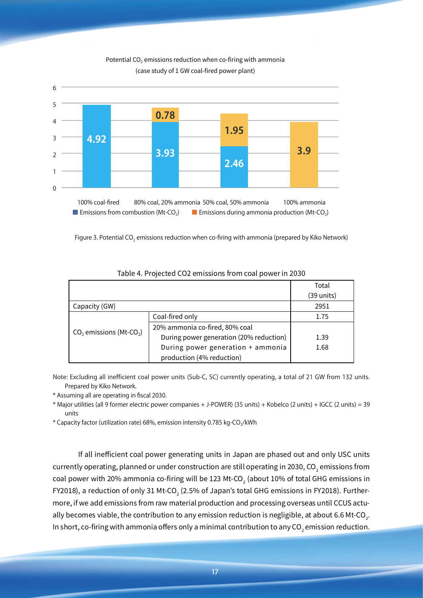

#### Potential CO<sub>2</sub> emissions reduction when co-firing with ammonia (case study of 1 GW coal-fired power plant)

Figure 3. Potential CO<sub>2</sub> emissions reduction when co-firing with ammonia (prepared by Kiko Network)

|                                       |                                         | Total      |
|---------------------------------------|-----------------------------------------|------------|
|                                       |                                         | (39 units) |
| Capacity (GW)                         |                                         | 2951       |
| $CO2$ emissions (Mt-CO <sub>2</sub> ) | Coal-fired only                         | 1.75       |
|                                       | 20% ammonia co-fired, 80% coal          |            |
|                                       | During power generation (20% reduction) | 1.39       |
|                                       | During power generation + ammonia       | 1.68       |
|                                       | production (4% reduction)               |            |

#### Table 4. Projected CO2 emissions from coal power in 2030

Note: Excluding all inefficient coal power units (Sub-C, SC) currently operating, a total of 21 GW from 132 units. Prepared by Kiko Network.

\* Assuming all are operating in fiscal 2030.

\* Major utilities (all 9 former electric power companies + J-POWER) (35 units) + Kobelco (2 units) + IGCC (2 units) = 39 units

\* Capacity factor (utilization rate) 68%, emission intensity 0.785 kg-CO<sub>2</sub>/kWh

If all inefficient coal power generating units in Japan are phased out and only USC units currently operating, planned or under construction are still operating in 2030, CO $_{\rm 2}$  emissions from coal power with 20% ammonia co-firing will be  $123$  Mt-CO $_{\rm 2}$  (about  $10\%$  of total GHG emissions in FY2018), a reduction of only 31 Mt-CO $_{\rm 2}$  (2.5% of Japan's total GHG emissions in FY2018). Furthermore, if we add emissions from raw material production and processing overseas until CCUS actually becomes viable, the contribution to any emission reduction is negligible, at about 6.6 Mt-CO $_{\textrm{\tiny{2}}}$ . In short, co-firing with ammonia offers only a minimal contribution to any  $\mathop{\rm CO}_{2}$  emission reduction.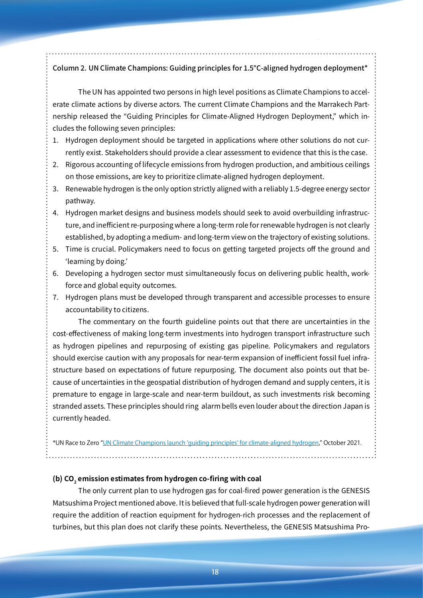### Column 2. UN Climate Champions: Guiding principles for 1.5°C-aligned hydrogen deployment\*

The UN has appointed two persons in high level positions as Climate Champions to accelerate climate actions by diverse actors. The current Climate Champions and the Marrakech Partnership released the "Guiding Principles for Climate-Aligned Hydrogen Deployment," which includes the following seven principles:

- 1. Hydrogen deployment should be targeted in applications where other solutions do not currently exist. Stakeholders should provide a clear assessment to evidence that this is the case.
- 2. Rigorous accounting of lifecycle emissions from hydrogen production, and ambitious ceilings on those emissions, are key to prioritize climate-aligned hydrogen deployment.
- 3. Renewable hydrogen is the only option strictly aligned with a reliably 1.5-degree energy sector pathway.
- 4. Hydrogen market designs and business models should seek to avoid overbuilding infrastructure, and inefficient re-purposing where a long-term role for renewable hydrogen is not clearly established, by adopting a medium- and long-term view on the trajectory of existing solutions.
- 5. Time is crucial. Policymakers need to focus on getting targeted projects off the ground and 'learning by doing.'
- 6. Developing a hydrogen sector must simultaneously focus on delivering public health, workforce and global equity outcomes.
- 7. Hydrogen plans must be developed through transparent and accessible processes to ensure accountability to citizens.

The commentary on the fourth guideline points out that there are uncertainties in the cost-effectiveness of making long-term investments into hydrogen transport infrastructure such as hydrogen pipelines and repurposing of existing gas pipeline. Policymakers and regulators should exercise caution with any proposals for near-term expansion of inefficient fossil fuel infrastructure based on expectations of future repurposing. The document also points out that because of uncertainties in the geospatial distribution of hydrogen demand and supply centers, it is premature to engage in large-scale and near-term buildout, as such investments risk becoming stranded assets. These principles should ring alarm bells even louder about the direction Japan is currently headed.

\*UN Race to Zero "[UN Climate Champions launch 'guiding principles' for climate-aligned hydrogen,](https://racetozero.unfccc.int/un-climate-champions-launch-guiding-principles-for-climate-aligned-hydrogen/)" October 2021.

#### (b) CO<sub>2</sub> emission estimates from hydrogen co-firing with coal

The only current plan to use hydrogen gas for coal-fired power generation is the GENESIS Matsushima Project mentioned above. It is believed that full-scale hydrogen power generation will require the addition of reaction equipment for hydrogen-rich processes and the replacement of turbines, but this plan does not clarify these points. Nevertheless, the GENESIS Matsushima Pro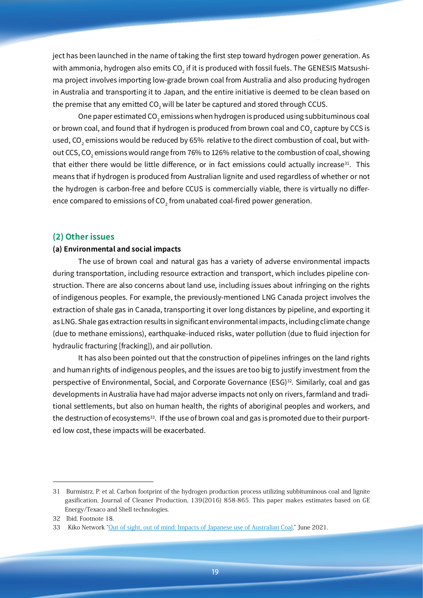ject has been launched in the name of taking the first step toward hydrogen power generation. As with ammonia, hydrogen also emits CO $_2$  if it is produced with fossil fuels. The GENESIS Matsushima project involves importing low-grade brown coal from Australia and also producing hydrogen in Australia and transporting it to Japan, and the entire initiative is deemed to be clean based on the premise that any emitted CO $_2$  will be later be captured and stored through CCUS.

One paper estimated CO $_2$  emissions when hydrogen is produced using subbituminous coal or brown coal, and found that if hydrogen is produced from brown coal and  $\mathop{\rm CO}_{2}$  capture by CCS is used, CO $_{\textrm{\tiny{2}}}$  emissions would be reduced by 65% relative to the direct combustion of coal, but without CCS, CO $_{\textrm{\tiny{2}}}$  emissions would range from 76% to 126% relative to the combustion of coal, showing that either there would be little difference, or in fact emissions could actually increase<sup>31</sup>. This means that if hydrogen is produced from Australian lignite and used regardless of whether or not the hydrogen is carbon-free and before CCUS is commercially viable, there is virtually no difference compared to emissions of  $\mathsf{CO}_2$  from unabated coal-fired power generation.

#### **(2) Other issues**

#### **(a) Environmental and social impacts**

The use of brown coal and natural gas has a variety of adverse environmental impacts during transportation, including resource extraction and transport, which includes pipeline construction. There are also concerns about land use, including issues about infringing on the rights of indigenous peoples. For example, the previously-mentioned LNG Canada project involves the extraction of shale gas in Canada, transporting it over long distances by pipeline, and exporting it as LNG. Shale gas extraction results in significant environmental impacts, including climate change (due to methane emissions), earthquake-induced risks, water pollution (due to fluid injection for hydraulic fracturing [fracking]), and air pollution.

It has also been pointed out that the construction of pipelines infringes on the land rights and human rights of indigenous peoples, and the issues are too big to justify investment from the perspective of Environmental, Social, and Corporate Governance (ESG)<sup>32</sup>. Similarly, coal and gas developments in Australia have had major adverse impacts not only on rivers, farmland and traditional settlements, but also on human health, the rights of aboriginal peoples and workers, and the destruction of ecosystems<sup>33</sup>. If the use of brown coal and gas is promoted due to their purported low cost, these impacts will be exacerbated.

<sup>31</sup> Burmistrz, P. et al. Carbon footprint of the hydrogen production process utilizing subbituminous coal and lignite gasification, Journal of Cleaner Production, 139(2016) 858-865. This paper makes estimates based on GE Energy/Texaco and Shell technologies.

<sup>32</sup> Ibid. Footnote 18.

<sup>33</sup> Kiko Network "Out of sight, out of mind: Impacts of Japanese use of [Australian](https://www.kikonet.org/wp/wp-content/uploads/2021/06/Australia-Japan-Coal-Report_202106_eng.pdf) Coal," June 2021.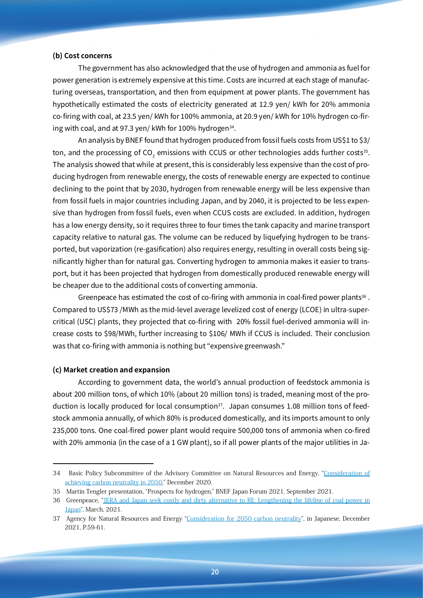#### **(b) Cost concerns**

The government has also acknowledged that the use of hydrogen and ammonia as fuel for power generation is extremely expensive at this time. Costs are incurred at each stage of manufacturing overseas, transportation, and then from equipment at power plants. The government has hypothetically estimated the costs of electricity generated at 12.9 yen/ kWh for 20% ammonia co-firing with coal, at 23.5 yen/ kWh for 100% ammonia, at 20.9 yen/ kWh for 10% hydrogen co-firing with coal, and at 97.3 yen/ kWh for 100% hydrogen<sup>34</sup>.

An analysis by BNEF found that hydrogen produced from fossil fuels costs from US\$1 to \$3/ ton, and the processing of CO<sub>2</sub> emissions with CCUS or other technologies adds further costs<sup>35</sup>. The analysis showed that while at present, this is considerably less expensive than the cost of producing hydrogen from renewable energy, the costs of renewable energy are expected to continue declining to the point that by 2030, hydrogen from renewable energy will be less expensive than from fossil fuels in major countries including Japan, and by 2040, it is projected to be less expensive than hydrogen from fossil fuels, even when CCUS costs are excluded. In addition, hydrogen has a low energy density, so it requires three to four times the tank capacity and marine transport capacity relative to natural gas. The volume can be reduced by liquefying hydrogen to be transported, but vaporization (re-gasification) also requires energy, resulting in overall costs being significantly higher than for natural gas. Converting hydrogen to ammonia makes it easier to transport, but it has been projected that hydrogen from domestically produced renewable energy will be cheaper due to the additional costs of converting ammonia.

Greenpeace has estimated the cost of co-firing with ammonia in coal-fired power plants<sup>36</sup>. Compared to US\$73 /MWh as the mid-level average levelized cost of energy (LCOE) in ultra-supercritical (USC) plants, they projected that co-firing with 20% fossil fuel-derived ammonia will increase costs to \$98/MWh, further increasing to \$106/ MWh if CCUS is included. Their conclusion was that co-firing with ammonia is nothing but "expensive greenwash."

#### **(c) Market creation and expansion**

According to government data, the world's annual production of feedstock ammonia is about 200 million tons, of which 10% (about 20 million tons) is traded, meaning most of the production is locally produced for local consumption $37$ . Japan consumes 1.08 million tons of feedstock ammonia annually, of which 80% is produced domestically, and its imports amount to only 235,000 tons. One coal-fired power plant would require 500,000 tons of ammonia when co-fired with 20% ammonia (in the case of a 1 GW plant), so if all power plants of the major utilities in Ja-

<sup>34</sup>  Basic Policy Subcommittee of the Advisory Committee on Natural Resources and Energy, "[Consideration](https://www.enecho.meti.go.jp/committee/council/basic_policy_subcommittee/035/035_004.pdf) of achieving carbon [neutrality](https://www.enecho.meti.go.jp/committee/council/basic_policy_subcommittee/035/035_004.pdf) in 2050," December 2020.

<sup>35</sup> Martin Tengler presentation, "Prospects for hydrogen," BNEF Japan Forum 2021, September 2021.

<sup>36</sup> Greenpeace, "JERA and Japan seek costly and dirty alternative to RE: [Lengthening](https://www.greenpeace.org/static/planet4-japan-stateless/2021/03/eb440b96-ammonia-co-firing-analysis_eng.pdf) the lifeline of coal power in [Japan](https://www.greenpeace.org/static/planet4-japan-stateless/2021/03/eb440b96-ammonia-co-firing-analysis_eng.pdf)", March, 2021.

<sup>37</sup> Agency for Natural Resources and Energy "[Consideration](https://www.enecho.meti.go.jp/committee/council/basic_policy_subcommittee/035/035_004.pdf) for 2050 carbon neutrality", in Japanese, December 2021, P.59-61.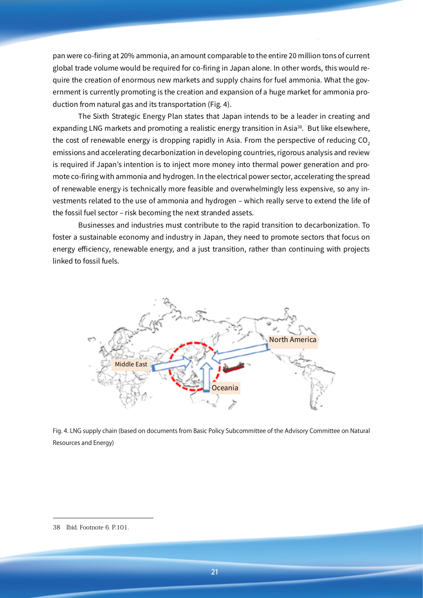pan were co-firing at 20% ammonia, an amount comparable to the entire 20 million tons of current global trade volume would be required for co-firing in Japan alone. In other words, this would require the creation of enormous new markets and supply chains for fuel ammonia. What the government is currently promoting is the creation and expansion of a huge market for ammonia production from natural gas and its transportation (Fig. 4).

The Sixth Strategic Energy Plan states that Japan intends to be a leader in creating and expanding LNG markets and promoting a realistic energy transition in Asia<sup>38</sup>. But like elsewhere, the cost of renewable energy is dropping rapidly in Asia. From the perspective of reducing CO<sub>2</sub> emissions and accelerating decarbonization in developing countries, rigorous analysis and review is required if Japan's intention is to inject more money into thermal power generation and promote co-firing with ammonia and hydrogen. In the electrical power sector, accelerating the spread of renewable energy is technically more feasible and overwhelmingly less expensive, so any investments related to the use of ammonia and hydrogen – which really serve to extend the life of the fossil fuel sector – risk becoming the next stranded assets.

Businesses and industries must contribute to the rapid transition to decarbonization. To foster a sustainable economy and industry in Japan, they need to promote sectors that focus on energy efficiency, renewable energy, and a just transition, rather than continuing with projects linked to fossil fuels.



Fig. 4. LNG supply chain (based on documents from Basic Policy Subcommittee of the Advisory Committee on Natural Resources and Energy)

<sup>38</sup> Ibid. Footnote 6. P.101.